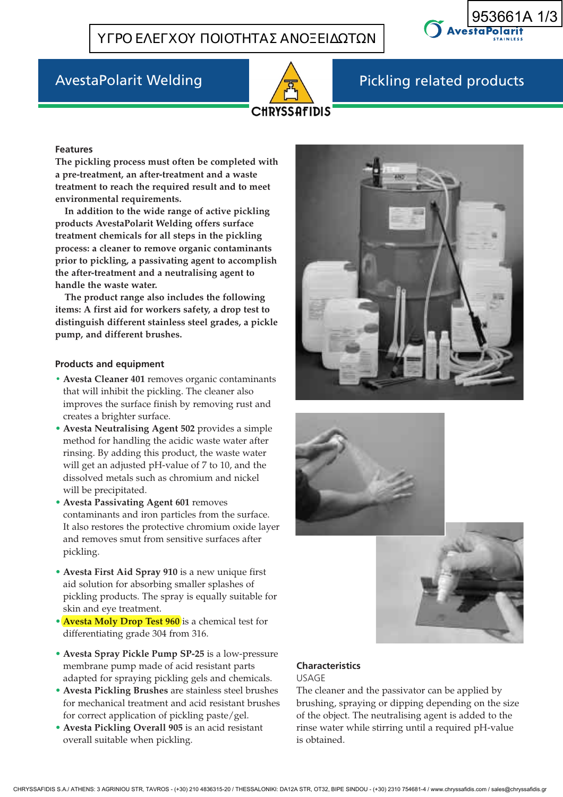



# AvestaPolarit Welding Pickling related products

#### **Features**

**The pickling process must often be completed with a pre-treatment, an after-treatment and a waste treatment to reach the required result and to meet environmental requirements.** 

**In addition to the wide range of active pickling products AvestaPolarit Welding offers surface treatment chemicals for all steps in the pickling process: a cleaner to remove organic contaminants prior to pickling, a passivating agent to accomplish the after-treatment and a neutralising agent to handle the waste water.**

**The product range also includes the following items: A first aid for workers safety, a drop test to distinguish different stainless steel grades, a pickle pump, and different brushes.**

#### **Products and equipment**

- **• Avesta Cleaner 401** removes organic contaminants that will inhibit the pickling. The cleaner also improves the surface finish by removing rust and creates a brighter surface.
- **Avesta Neutralising Agent 502** provides a simple method for handling the acidic waste water after rinsing. By adding this product, the waste water will get an adjusted pH-value of 7 to 10, and the dissolved metals such as chromium and nickel will be precipitated.
- **Avesta Passivating Agent 601** removes contaminants and iron particles from the surface. It also restores the protective chromium oxide layer and removes smut from sensitive surfaces after pickling.
- **Avesta First Aid Spray 910** is a new unique first aid solution for absorbing smaller splashes of pickling products. The spray is equally suitable for skin and eye treatment.
- **Avesta Moly Drop Test 960** is a chemical test for differentiating grade 304 from 316.
- **Avesta Spray Pickle Pump SP-25** is a low-pressure membrane pump made of acid resistant parts adapted for spraying pickling gels and chemicals.
- **Avesta Pickling Brushes** are stainless steel brushes for mechanical treatment and acid resistant brushes for correct application of pickling paste/gel.
- **Avesta Pickling Overall 905** is an acid resistant overall suitable when pickling.







#### **Characteristics** USAGE

The cleaner and the passivator can be applied by brushing, spraying or dipping depending on the size of the object. The neutralising agent is added to the rinse water while stirring until a required pH-value is obtained.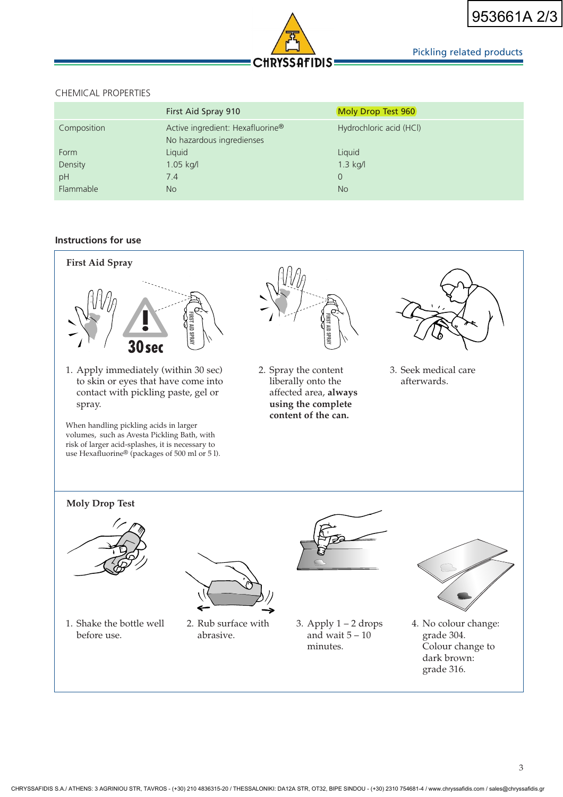

# Pickling related products

### CHEMICAL PROPERTIES

|             | First Aid Spray 910                                           | Moly Drop Test 960      |
|-------------|---------------------------------------------------------------|-------------------------|
| Composition | Active ingredient: Hexafluorine®<br>No hazardous ingredienses | Hydrochloric acid (HCl) |
| Form        | Liquid                                                        | Liquid                  |
| Density     | $1.05$ kg/l                                                   | $1.3$ kg/l              |
| pH          | 7.4                                                           | $\Omega$                |
| Flammable   | <b>No</b>                                                     | <b>No</b>               |

# **Instructions for use**